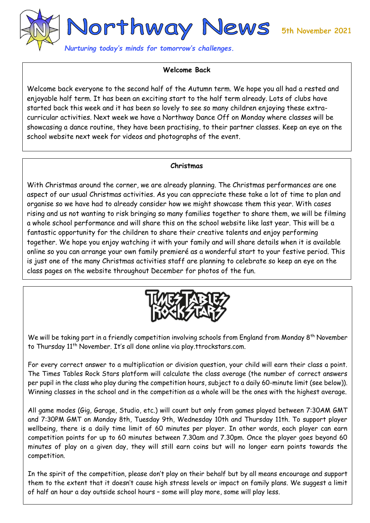

*Nurturing today's minds for tomorrow's challenges.* 

## **Welcome Back**

Welcome back everyone to the second half of the Autumn term. We hope you all had a rested and enjoyable half term. It has been an exciting start to the half term already. Lots of clubs have started back this week and it has been so lovely to see so many children enjoying these extracurricular activities. Next week we have a Northway Dance Off on Monday where classes will be showcasing a dance routine, they have been practising, to their partner classes. Keep an eye on the school website next week for videos and photographs of the event.

### **Christmas**

With Christmas around the corner, we are already planning. The Christmas performances are one aspect of our usual Christmas activities. As you can appreciate these take a lot of time to plan and organise so we have had to already consider how we might showcase them this year. With cases rising and us not wanting to risk bringing so many families together to share them, we will be filming a whole school performance and will share this on the school website like last year. This will be a fantastic opportunity for the children to share their creative talents and enjoy performing together. We hope you enjoy watching it with your family and will share details when it is available online so you can arrange your own family premieré as a wonderful start to your festive period. This is just one of the many Christmas activities staff are planning to celebrate so keep an eye on the class pages on the website throughout December for photos of the fun.



We will be taking part in a friendly competition involving schools from England from Monday 8<sup>th</sup> November to Thursday 11 th November. It's all done online via play.ttrockstars.com.

For every correct answer to a multiplication or division question, your child will earn their class a point. The Times Tables Rock Stars platform will calculate the class average (the number of correct answers per pupil in the class who play during the competition hours, subject to a daily 60-minute limit (see below)). Winning classes in the school and in the competition as a whole will be the ones with the highest average.

All game modes (Gig, Garage, Studio, etc.) will count but only from games played between 7:30AM GMT and 7:30PM GMT on Monday 8th, Tuesday 9th, Wednesday 10th and Thursday 11th. To support player wellbeing, there is a daily time limit of 60 minutes per player. In other words, each player can earn competition points for up to 60 minutes between 7.30am and 7.30pm. Once the player goes beyond 60 minutes of play on a given day, they will still earn coins but will no longer earn points towards the competition.

In the spirit of the competition, please don't play on their behalf but by all means encourage and support them to the extent that it doesn't cause high stress levels or impact on family plans. We suggest a limit of half an hour a day outside school hours – some will play more, some will play less.